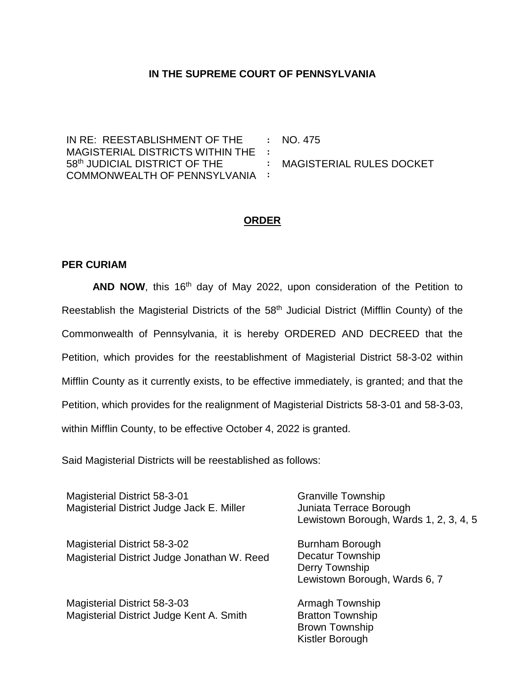## **IN THE SUPREME COURT OF PENNSYLVANIA**

IN RE: REESTABLISHMENT OF THE MAGISTERIAL DISTRICTS WITHIN THE **:** 58th JUDICIAL DISTRICT OF THE COMMONWEALTH OF PENNSYLVANIA **: :** NO. 475 **:** MAGISTERIAL RULES DOCKET

## **ORDER**

## **PER CURIAM**

**AND NOW**, this 16<sup>th</sup> day of May 2022, upon consideration of the Petition to Reestablish the Magisterial Districts of the 58th Judicial District (Mifflin County) of the Commonwealth of Pennsylvania, it is hereby ORDERED AND DECREED that the Petition, which provides for the reestablishment of Magisterial District 58-3-02 within Mifflin County as it currently exists, to be effective immediately, is granted; and that the Petition, which provides for the realignment of Magisterial Districts 58-3-01 and 58-3-03, within Mifflin County, to be effective October 4, 2022 is granted.

Said Magisterial Districts will be reestablished as follows:

Magisterial District 58-3-01 Magisterial District Judge Jack E. Miller Granville Township Juniata Terrace Borough Lewistown Borough, Wards 1, 2, 3, 4, 5 Magisterial District 58-3-02 Magisterial District Judge Jonathan W. Reed Burnham Borough Decatur Township Derry Township Lewistown Borough, Wards 6, 7 Magisterial District 58-3-03 Magisterial District Judge Kent A. Smith Armagh Township Bratton Township

> Brown Township Kistler Borough